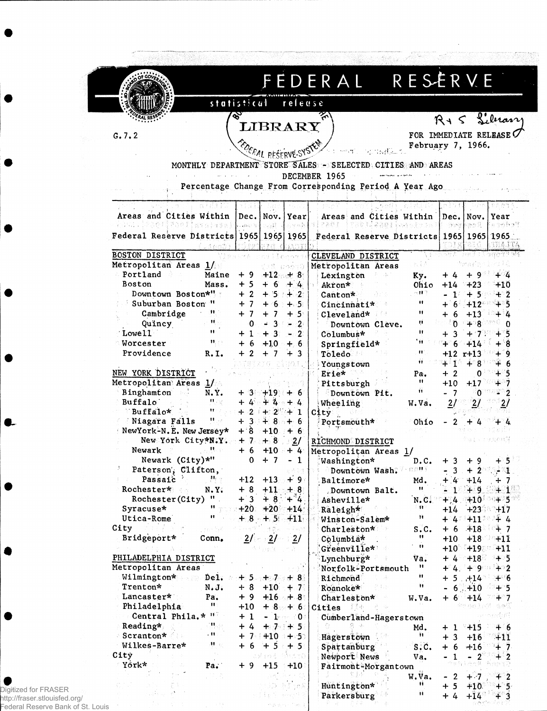|                                                                                   |                           |                 |                          |                         | FEDERAL RESERVE                                            |                       |                                     |                               |                        |
|-----------------------------------------------------------------------------------|---------------------------|-----------------|--------------------------|-------------------------|------------------------------------------------------------|-----------------------|-------------------------------------|-------------------------------|------------------------|
|                                                                                   |                           | statistical     |                          | releuse                 |                                                            |                       |                                     |                               |                        |
|                                                                                   |                           | Z               |                          |                         |                                                            |                       |                                     |                               |                        |
|                                                                                   |                           |                 | LIBRARY                  |                         |                                                            |                       | $R + S$                             |                               | Library                |
| G.7.2                                                                             |                           |                 |                          |                         |                                                            | FOR IMMEDIATE RELEASE |                                     |                               |                        |
|                                                                                   |                           |                 | <b>EDERAL RESERVE-SY</b> |                         |                                                            | February 7, 1966.     |                                     |                               |                        |
|                                                                                   |                           |                 |                          |                         | MONTHLY DEPARTMENT STORE SALES - SELECTED CITIES AND AREAS |                       |                                     |                               |                        |
|                                                                                   |                           |                 |                          |                         | DECEMBER 1965                                              |                       |                                     |                               |                        |
|                                                                                   |                           |                 |                          |                         | Percentage Change From Corresponding Period A Year Ago     |                       |                                     |                               |                        |
|                                                                                   |                           |                 |                          |                         |                                                            |                       |                                     |                               |                        |
| Areas and Cities Within                                                           |                           |                 | Dec. Nov. Year           |                         | Areas and Cities Within                                    |                       | Dec.                                | Nov.                          | Year                   |
| (1) Since 2 ( 1) Since 2 ( 1) Since 2 ( 1) Since 2 ( 1) Since 2 ( 1) Since 2 ( 1) |                           |                 | See M                    |                         | <b>实际零售 最高超速重新通向通信设施</b><br>运动运动事件主管器整束                    |                       | 39 M                                |                               | Ersyhaf                |
| Federal Reserve Districts 1965 1965 1965                                          |                           |                 |                          |                         | Federal Reserve Districts 1965 1965 1965                   |                       |                                     |                               |                        |
| <b>BOSTON DISTRICT</b>                                                            |                           |                 |                          |                         | CLEVELAND DISTRICT                                         |                       | 多智术                                 |                               | TEA ITA<br>うつくぼう すず 事態 |
| Metropolitan Areas 1/                                                             |                           |                 |                          | -80679                  | Metropolitan Areas                                         |                       |                                     |                               |                        |
| Portland                                                                          | Maine                     | + 9             | $+12$                    | ೕ 8                     | Lexington                                                  | Ky.                   | + 4                                 | + 9                           | + 4                    |
| <b>Boston</b>                                                                     | Mass.                     | $+5$            | $+6$                     | $+4$                    | Akron*                                                     | Ohio                  | $+14$                               | $+23$                         | +10                    |
| Downtown Boston*"                                                                 |                           | $+2$            |                          | $+2$                    | Canton*                                                    | 水材子                   | -17                                 | $+5$                          | $+2$                   |
| Suburban Boston                                                                   | $\mathbf{u}$<br>п.        | + 7             |                          | +⊹5:                    | Cincinnati*                                                | 11<br>"               |                                     | $6 + 12$                      | +5                     |
| Cambridge<br>Quincy                                                               | Ħ.                        | + 7<br>0        |                          | + 5.<br>-2              | Cleveland*<br>Downtown Cleve.                              | Ù.                    | +<br>-6<br>$\mathfrak{g}$           | $+13$<br><b>⊥ു</b>            |                        |
| Lowell                                                                            | 11.                       | $+1$            | -3                       | - 21                    | Columbus*                                                  | Ħ                     | 3                                   |                               |                        |
| Worcester                                                                         | $\mathbf{H}_\mathrm{eff}$ | -6<br>┿         | $+1.0$                   | $+$<br>-6               | Springfield*                                               | ' 11                  | - 6<br>$+$                          | 414                           |                        |
| Providence                                                                        | R.1.                      | + 2             |                          | -3                      | Toledo                                                     | $\mathbf{u}$          | $+12$ r+13                          |                               | + 9                    |
|                                                                                   |                           |                 |                          |                         | Youngstown                                                 | Ħ                     | $+1$                                | $+8$                          | + 6                    |
| NEW YORK DISTRICT                                                                 |                           |                 |                          |                         | Erie*                                                      | Pa.                   | + 2                                 | 0                             | $+5$                   |
| Metropolitan Areas 1/                                                             |                           |                 |                          |                         | Pittsburgh                                                 | Ħ<br>Ĥ.               | $+10$                               | $+17$                         | $+7$                   |
| Binghamton<br>Buffalo                                                             | N.Y.<br><b>H</b> / V      | +3<br>+ 4       | $+19$                    | + 6<br>4                | Downtown Pit.                                              |                       | - 7                                 | $\mathbf{0}$                  | $-2$                   |
| Buffalo*                                                                          | m                         | $+2$            | $+2$                     | ા                       | Wheeling<br>City                                           | W.Va.                 | $\overline{27}$                     |                               |                        |
| Miagara Falls                                                                     | म ::                      | $+3$            | + 8                      | — 6                     | Portsmouth*                                                | Ohio                  | 2                                   |                               |                        |
| NewYork-N.E. New Jersey*                                                          |                           | $+3$            | $+10$                    | $+6$                    |                                                            |                       |                                     |                               |                        |
| New York City*N.Y.                                                                |                           | $+7$            | $+8$                     | 2/                      | <b>RICHMOND DISTRICT</b>                                   |                       |                                     | 同音 人名伊朗布斯博                    |                        |
| Newark<br>Newark (City)*"                                                         | ्।                        | 0               | $+ 6 + 10 + 4$<br>$+7$   | $-1$                    | Metropolitan Areas 1/                                      |                       |                                     |                               | $+5$                   |
| У.<br>Paterson', Clifton,                                                         |                           |                 |                          | 제학 양철.                  | Washington*<br>Downtown Wash.                              | D.C.<br>usn)          | $+3$<br>3 <sub>1</sub><br>$\bullet$ | $+9$<br>$+20.9491$            |                        |
| Passaic                                                                           | 丹土                        | $+12$           | $+13$                    | $+9$                    | Baltimore*                                                 | Md.                   | $+4 + 14$                           |                               | $+7$                   |
| Rochester*                                                                        | $N \cdot Y$               | $+8$            | $+11 + 8$                |                         | Downtown Balt.                                             | Ħ.                    |                                     | $-1$ $+9$ $+1$                |                        |
| Rochester (City)                                                                  | $\mathbf{u}_{\perp}$      | $+3$            | $+8$ + 4                 |                         | Asheville*                                                 | $N, C$ .              |                                     | $+4.4 +10^{10} + 5$           |                        |
| Syracuse*                                                                         | $\mathbf{H}_{\text{eff}}$ | $+20 + 20 + 14$ |                          |                         | Raleigh*                                                   | ं म                   |                                     | $+14$ $+23$ $+17$             |                        |
| Utica-Rome                                                                        | u                         |                 | $+8$ + 5 + 11            |                         | Winston-Salem*                                             | Н                     |                                     | +^47^+11 <sup>380</sup> + 4   |                        |
| City<br>Bridgeport*                                                               | , ne SR<br>Conn.          |                 | 呼声之<br>2/2/              | n Task<br>$\frac{2}{ }$ | Charleston*<br>Columbia*                                   | s.c.<br>Ħ             | $+10$                               | $+ 6 + 18 + 7$<br>$+18$ $+11$ |                        |
|                                                                                   |                           |                 |                          | W.                      | Greenville*                                                | $\mathbf{H}$          |                                     | $+10$ $+19$ $+11$             |                        |
| PHILADELPHIA DISTRICT                                                             |                           |                 |                          |                         | Lynchburg*                                                 | va.                   |                                     | $+4$ $+18$ $+5$               |                        |
| Metropolitan Areas                                                                |                           |                 |                          |                         | Norfolk-Portsmouth                                         | Ħ.                    |                                     | $+4.49$ $+2$                  |                        |
| Wilmington*                                                                       | De1.                      |                 | $+5$ + 7 + 8             |                         | Richmond                                                   | Ħ.                    |                                     | $+5.714$                      | $+ 6$                  |
| Trenton*                                                                          | $N_{\bullet} J_{\bullet}$ | $+8$            | $+10$                    | $+7$                    | Roanoke*<br>전문관                                            | Ħ.                    |                                     | $-6 + 10$                     | $+5$                   |
| Lancaster*<br>Philadelphia                                                        | Pa.<br>m                  | $+9$            |                          | $+16 + 8$               | Charleston*                                                | W.Va.                 | $+ 6$                               | $+14$<br>269 min Andri        | $+7$<br>승추실            |
| Central Phila.* ""                                                                |                           | $+10$<br>$+1$   | $+8 + 6$                 | $-1$ and $0$ and $-1$   | Cities Manager<br>Cumberland-Hagerstown                    |                       |                                     |                               | 石屑                     |
| Reading*                                                                          | Web                       | $+4$            | $+7.7 + 5$               |                         |                                                            | Md.                   | $+1$ $+15$                          |                               | + 6                    |
| Scranton*                                                                         | , 11 (                    |                 | $+7.7+10.45$             |                         | Hagerstown                                                 | $\mathbf{H}$          | $+3$                                | $+16$                         | $+11$                  |
| Wilkes-Barre*                                                                     | $\mathbf{u}_\mathrm{in}$  | $+6$            |                          | $+5 + 5$                | Spartanburg                                                | s.c.                  | $+6$                                | $+16$                         | $+7$                   |
| City                                                                              | $\mathcal{N}_{\rm{eff}}$  |                 | 出展生物质。                   | 行行为(学)                  | Newport News                                               | Va.                   | $\mathbf{1}$                        | $-2$                          | $+2$                   |
|                                                                                   | Pa.                       | +9              | $+15$                    | $+10$                   | Fairmont-Morgantown                                        |                       | ogy.                                | i Angel                       | ang P                  |
| York*                                                                             |                           |                 |                          |                         | N LE                                                       | W.Va.                 | $-2$                                | $+7$                          | $+2$                   |

A.

●<br>Digitized for FRASER<br>http://fraser.stlouisfed.org/<br>Federal Reserve Bank of St. Louis

 $\bullet$ 

Q.

٠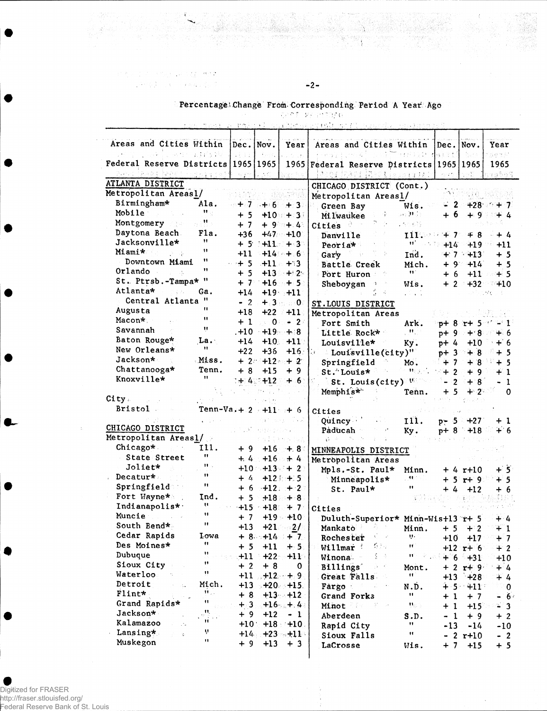的人的第三人称形式 MOL  $\label{eq:reduced} \mathcal{L} = \mathcal{L} \cdot \left( \sqrt{2} - \sqrt{\lambda} \right) \geq \sqrt{2 \log \left( \sqrt{2} \sqrt{\lambda} \right)} \, \sqrt{2}$ 

## Percentage Change From Corresponding Period A Year Ago <u>The card parameter</u>

 $-2-$ 

|  |                                                                                                                | the contract of the contract of the contract of the contract of the contract of the contract of the contract of |  |  |  |  |  |
|--|----------------------------------------------------------------------------------------------------------------|-----------------------------------------------------------------------------------------------------------------|--|--|--|--|--|
|  | 그 사람들은 그 사람들은 그 사람들은 그 사람들을 지르며 그 사람들을 지르며 그 사람들을 지르며 그 사람들을 지르며 그 사람들을 지르며 그 사람들을 지르며 그 사람들을 지르며 그 사람들을 지르며 그 |                                                                                                                 |  |  |  |  |  |

|                                                    |                         |                     |                   |                      | raktel parketsky man at hands                 |                                                   |                                      |              |                         |
|----------------------------------------------------|-------------------------|---------------------|-------------------|----------------------|-----------------------------------------------|---------------------------------------------------|--------------------------------------|--------------|-------------------------|
| Areas and Cities Within<br>2018年1月10日              | 医全环性 保险                 | Dec. Now.<br>n Elia | <b>Beach Lune</b> | Year<br>$\sim$ 10    | Areas and Cities Within<br>机平均分子 医血细胞的        | $\mathcal{L}(\mathcal{L},\mathcal{L})$<br>in Kirk | ec. Nov.<br>计微小分类                    |              | Year<br>的复数科            |
| Federal Reserve Districts   1965   1965            |                         |                     |                   | 1965                 | Federal Reserve Districts   1965   1965       |                                                   |                                      |              | 1965                    |
| od <sup>a</sup> Aab ( ∄aAe t                       |                         |                     |                   |                      | 12 A<br>13 L                                  | dû∄ istotadel                                     |                                      | n er S       | 79603                   |
| ATLANTA DISTRICT                                   |                         |                     |                   |                      | CHICAGO DISTRICT (Cont.)                      |                                                   |                                      |              |                         |
| Metropolitan Areasl/                               |                         |                     |                   |                      | Metropolitan Areasl/                          |                                                   |                                      | 21 G 310     |                         |
| Birmingham*                                        | Ala.                    |                     |                   | $+7 +6 +3$           | Green Bay                                     | Wis.                                              |                                      |              | $2 + 28 + 7$            |
| Mobile                                             | $11 -$                  | $+5$                |                   | $+10 + 31$           | Milwaukee                                     | se Hor                                            | $+6$                                 | $+9$         | $+4$                    |
| Montgomery and                                     | M                       | $+7$                |                   | $+9$ $+4$            | Cities <sup>3</sup>                           | 计可编码                                              |                                      |              |                         |
| Daytona Beach                                      | Fla.                    | $+36$               |                   | $+47 + 10$           | Danville                                      | 112.002                                           | $+7$                                 | — 8          | $+4$                    |
| Jacksonville*                                      | Ħ                       | $+5$                |                   | $+11 + 3$            | Peoria*                                       | ti' usqe                                          | $+14$                                | $+19$        | $+11$                   |
| <b>Miami*</b>                                      | $\blacksquare$          | $+11$               |                   | $+14 + 6$            | Gary<br>$\frac{1}{2}$                         | Ind.                                              |                                      | $+7.13$      | $+5$                    |
| Downtown Miami                                     | н                       | $+5$                |                   | $+11 + 3$            | Battle Creek                                  | Mich.                                             |                                      | +9+14        | $+5$                    |
| Orlando                                            | "                       | $+5$                |                   | $+13 + 2$            | Port Huron                                    | Ħ.                                                | +6                                   | $+11$        | $+5$<br>- 758           |
| St. Ptrsb.-Tampa* "                                |                         | + 7                 |                   | $+16 + 5$            | Sheboygan                                     | Wis.                                              | $+2$                                 | $+32$        | 410                     |
| Atlanta*                                           | Ga.                     | $+14$               |                   | $+19 + 11$           |                                               |                                                   |                                      |              | t Mo                    |
| Central Atlanta "                                  |                         | $-2$                |                   | $+3.3 - 0.7$         | ST. LOUIS DISTRICT                            |                                                   |                                      |              |                         |
| Augusta                                            | 11                      | $+18$               |                   | $+22 +11$            | Metropolitan Areas                            |                                                   |                                      |              |                         |
| Macon* .                                           | 11                      | + 1                 |                   | $-0.00 - 20$         | Fort Smith                                    | Ark.                                              |                                      |              | $p+8$ r+ 5 $\gamma$ - 1 |
| Savannah                                           | Ħ                       |                     | $. +10 -19 - +8$  |                      | Little Rock*                                  | $\mathbf{H}_{\mathrm{eff}}$                       |                                      | p+ 9 + 8     | $+6$                    |
| Baton Rouge*                                       | La.                     | +14                 |                   | $+10. +11$           | Louisville*                                   | Ky.                                               | $p+4$                                | $+10$        | $+6$                    |
| New Orleans*                                       | 11                      | $+22$               | $+36$             | $+16.13$             | Louisville(city)"                             |                                                   | $p+3$                                | $+8$         | + 5                     |
| Jackson*                                           | Miss.                   |                     | $+2+12+2$         |                      | Springfield                                   | Mo.                                               | $+7$                                 |              | $+8$ + 5                |
| Chattanooga*                                       | Tenn.                   | $+8$                | $+15$             | $+9$                 | St. Louis*                                    | $\mathbf{H}_{\overline{Q}}(x)$ as:                | $+2$                                 | $+9$         | $+1$                    |
| Knoxville*                                         | 11                      |                     |                   | :+:4::+12 + 6:       | St. Louis $(\text{city})$                     |                                                   | $\mathbf{2}$<br>$\ddot{\phantom{0}}$ | $+8$         | $-1$                    |
|                                                    |                         |                     |                   |                      | Memphis*                                      | Tenn.                                             | $+5$                                 | $+2$         | $\Omega$                |
| City.                                              |                         |                     |                   |                      |                                               |                                                   |                                      |              |                         |
| <b>Bristol</b>                                     | Tenn-Va. + 2 $-11$ $+6$ |                     |                   |                      | Cities                                        |                                                   |                                      |              |                         |
|                                                    |                         |                     |                   |                      | Quincy                                        | 111.                                              |                                      | $p - 5 + 27$ | + 1                     |
| CHICAGO DISTRICT                                   |                         |                     |                   |                      | Paducah                                       | Ky.                                               |                                      | $p+8$ +18    | $+ 6$                   |
| Metropolitan Areasl/                               |                         |                     |                   | AltaA                | 금. 다                                          |                                                   |                                      |              |                         |
| Chicago*                                           | 111.<br>11              | +9                  |                   | $+16 + 8$            | MINNEAPOLIS DISTRICT                          |                                                   |                                      |              |                         |
| State Street                                       | $\mathbf{H}$            |                     | $+4$ +16 + 4      |                      | Metropolitan Areas                            |                                                   |                                      |              |                         |
| Joliet*                                            | $\blacksquare$          |                     |                   | $+10$ $+13$ $+2$     | Mpls.-St. Paul*                               | Minn.                                             |                                      | + 4 r+10     | $+5$                    |
| . Decatur*                                         | 11                      | $+4$                |                   | $+12: + 5$           | Minneapolis*                                  | y Materi                                          |                                      | $+5$ r+ 9    | $+5$                    |
| Springfield                                        |                         | + 6                 |                   | $+12. + 2$           | St. Paul*                                     | "                                                 | + 4                                  | $+12$        | + 6                     |
| Fort Wayne*                                        | Ind.<br>u               | + 5                 |                   | $+18 + 8$            |                                               |                                                   |                                      | 2개성 :        |                         |
| Indianapolis*                                      | 11                      |                     |                   | $+15 + 18 + 7$       | Cities                                        |                                                   |                                      |              |                         |
| Muncie                                             | 11                      | $+7$                |                   | $+19 + 10$           | Duluth-Superior* Minn-Wist13 r+ 5             |                                                   |                                      |              | $+ 4$                   |
| South Bend*                                        |                         | $+13$               |                   | $+21$ $2/$           | 좀 눈<br>Mankato                                | Minn.                                             | $+5$                                 | $+2$         | $+1$                    |
| Cedar Rapids                                       | Lowa<br>11              |                     |                   | $+8$ +14 + 7         | $\mathcal{N}_{\rm c}=-\omega$<br>Rochester    | v.                                                | $+10$                                | $+17$        | $+7$                    |
| Des Moines*                                        | Ħ                       | $+5$                | $+11$             | $+5.$                | $\langle \cdot \rangle$ ) $\sim$<br>Willmar ' | Ħ                                                 |                                      | $+12$ r+ 6   | $+2$                    |
| Dubuque                                            | n                       | $+11$               | $+22$             | $+11$                | 도 주<br>Winona                                 | Ħ<br>多次                                           |                                      | $+ 6 + 31$   | $+10$                   |
| Sioux City                                         | Ħ                       | $+2$                | $+8$              | 0                    | Billings                                      | Mont.                                             |                                      | $+2$ r+ 9    | $+4$                    |
| Waterloo<br>Detroit                                |                         |                     |                   | $+11$ , $+12$ , $+9$ | Great Falls                                   | Ħ,                                                |                                      | $+13$ +28    | $+4$                    |
| $\mathcal{L} = \mathcal{L}_{\mathbf{A}}$<br>Flint* | Mich.<br>н.,            |                     |                   | $+13 + 20 + 15$      | Fargo                                         | N.D.                                              |                                      | $4.5 - 411$  | $\mathbf 0$             |
|                                                    | Ħ                       | $+8$                |                   | $+13 - +12$          | Grand Forks                                   | u                                                 | $+1$                                 | $+7$         | $-6.$                   |
| Grand Rapids*<br>Jackson*                          | 11,                     | $+3$                |                   | $+16 - + 4$          | <b>Minot</b><br>F - 5                         | $\Psi_{\mathbb{S}}$ ).                            | $+1$                                 | $+15$        | $-3$                    |
| Kalamazoo                                          | W                       | $+9$                | $+12$             | $-1$                 | Aberdeen                                      | S.D.                                              | <sup>1</sup><br>-                    | ∔ 9          | $+2$                    |
|                                                    | Ņ                       |                     |                   | $+10$ +18 +10.       | Rapid City                                    | Ħ                                                 | -13                                  | $-14$        | $-10$                   |
| Lansing*<br>$\mathcal{E} = 0$                      | Ħ                       |                     |                   | $+14$ $+23$ $+11$    | Sioux Falls                                   | $\pmb{\mathfrak{m}}$                              |                                      | $2 r+10$     | $-2$                    |
| Muskegon                                           |                         | $+9$                | $+13$             | $+3$                 | LaCrosse                                      | Wis.                                              | $+7$                                 | $+15$        | $+5$                    |

## Digitized for FRASER http://fraser.stlouisfed.org/

Federal Reserve Bank of St. Louis